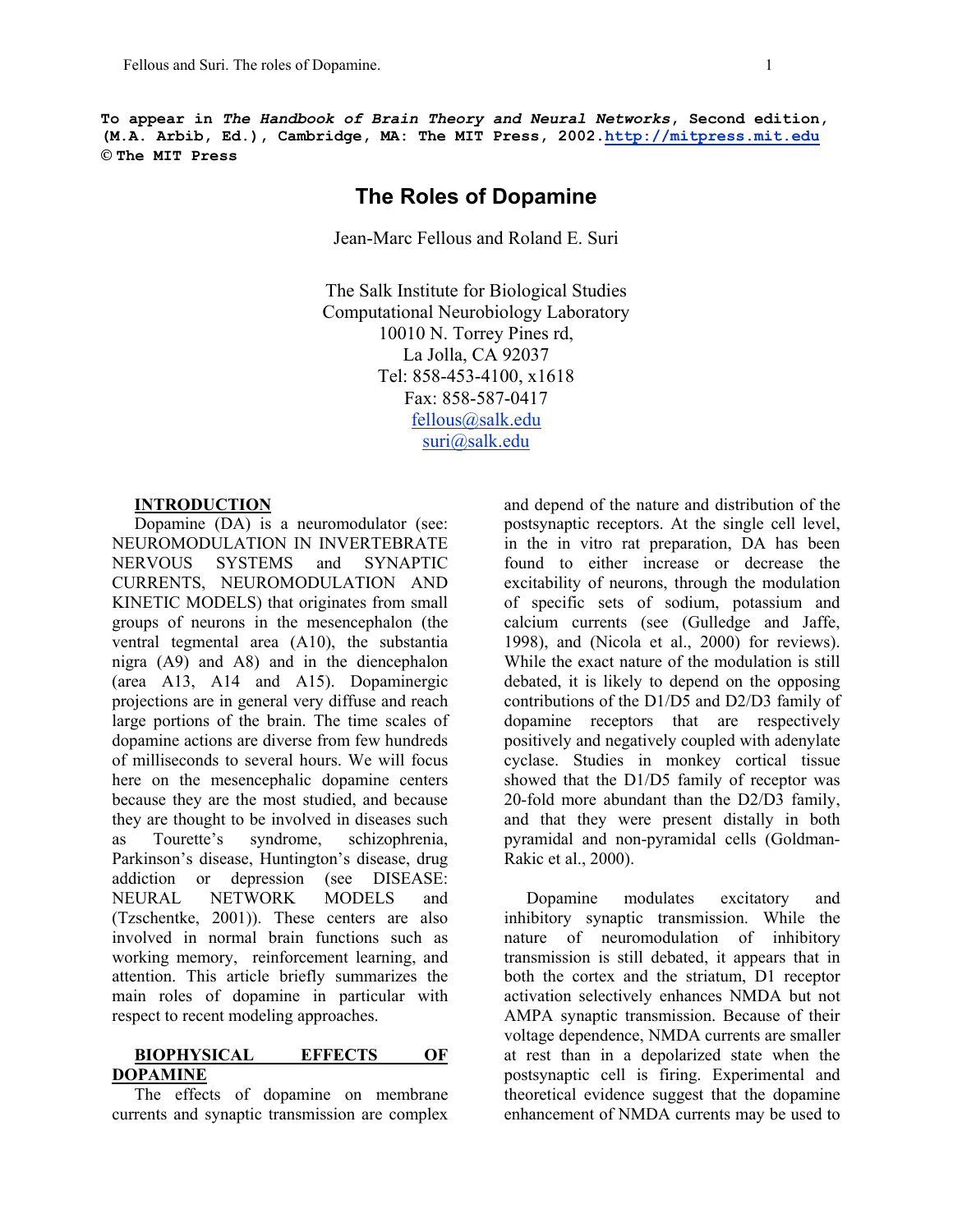**To appear in** *The Handbook of Brain Theory and Neural Networks***, Second edition, (M.A. Arbib, Ed.), Cambridge, MA: The MIT Press, 2002.http://mitpress.mit.edu © The MIT Press**

# **The Roles of Dopamine**

Jean-Marc Fellous and Roland E. Suri

The Salk Institute for Biological Studies Computational Neurobiology Laboratory 10010 N. Torrey Pines rd, La Jolla, CA 92037 Tel: 858-453-4100, x1618 Fax: 858-587-0417 fellous@salk.edu suri@salk.edu

#### **INTRODUCTION**

Dopamine (DA) is a neuromodulator (see: NEUROMODULATION IN INVERTEBRATE NERVOUS SYSTEMS and SYNAPTIC CURRENTS, NEUROMODULATION AND KINETIC MODELS) that originates from small groups of neurons in the mesencephalon (the ventral tegmental area (A10), the substantia nigra (A9) and A8) and in the diencephalon (area A13, A14 and A15). Dopaminergic projections are in general very diffuse and reach large portions of the brain. The time scales of dopamine actions are diverse from few hundreds of milliseconds to several hours. We will focus here on the mesencephalic dopamine centers because they are the most studied, and because they are thought to be involved in diseases such as Tourette's syndrome, schizophrenia, Parkinson's disease, Huntington's disease, drug addiction or depression (see DISEASE: NEURAL NETWORK MODELS and (Tzschentke, 2001)). These centers are also involved in normal brain functions such as working memory, reinforcement learning, and attention. This article briefly summarizes the main roles of dopamine in particular with respect to recent modeling approaches.

#### **BIOPHYSICAL EFFECTS OF DOPAMINE**

The effects of dopamine on membrane currents and synaptic transmission are complex

and depend of the nature and distribution of the postsynaptic receptors. At the single cell level, in the in vitro rat preparation, DA has been found to either increase or decrease the excitability of neurons, through the modulation of specific sets of sodium, potassium and calcium currents (see (Gulledge and Jaffe, 1998), and (Nicola et al., 2000) for reviews). While the exact nature of the modulation is still debated, it is likely to depend on the opposing contributions of the D1/D5 and D2/D3 family of dopamine receptors that are respectively positively and negatively coupled with adenylate cyclase. Studies in monkey cortical tissue showed that the D1/D5 family of receptor was 20-fold more abundant than the D2/D3 family, and that they were present distally in both pyramidal and non-pyramidal cells (Goldman-Rakic et al., 2000).

Dopamine modulates excitatory and inhibitory synaptic transmission. While the nature of neuromodulation of inhibitory transmission is still debated, it appears that in both the cortex and the striatum, D1 receptor activation selectively enhances NMDA but not AMPA synaptic transmission. Because of their voltage dependence, NMDA currents are smaller at rest than in a depolarized state when the postsynaptic cell is firing. Experimental and theoretical evidence suggest that the dopamine enhancement of NMDA currents may be used to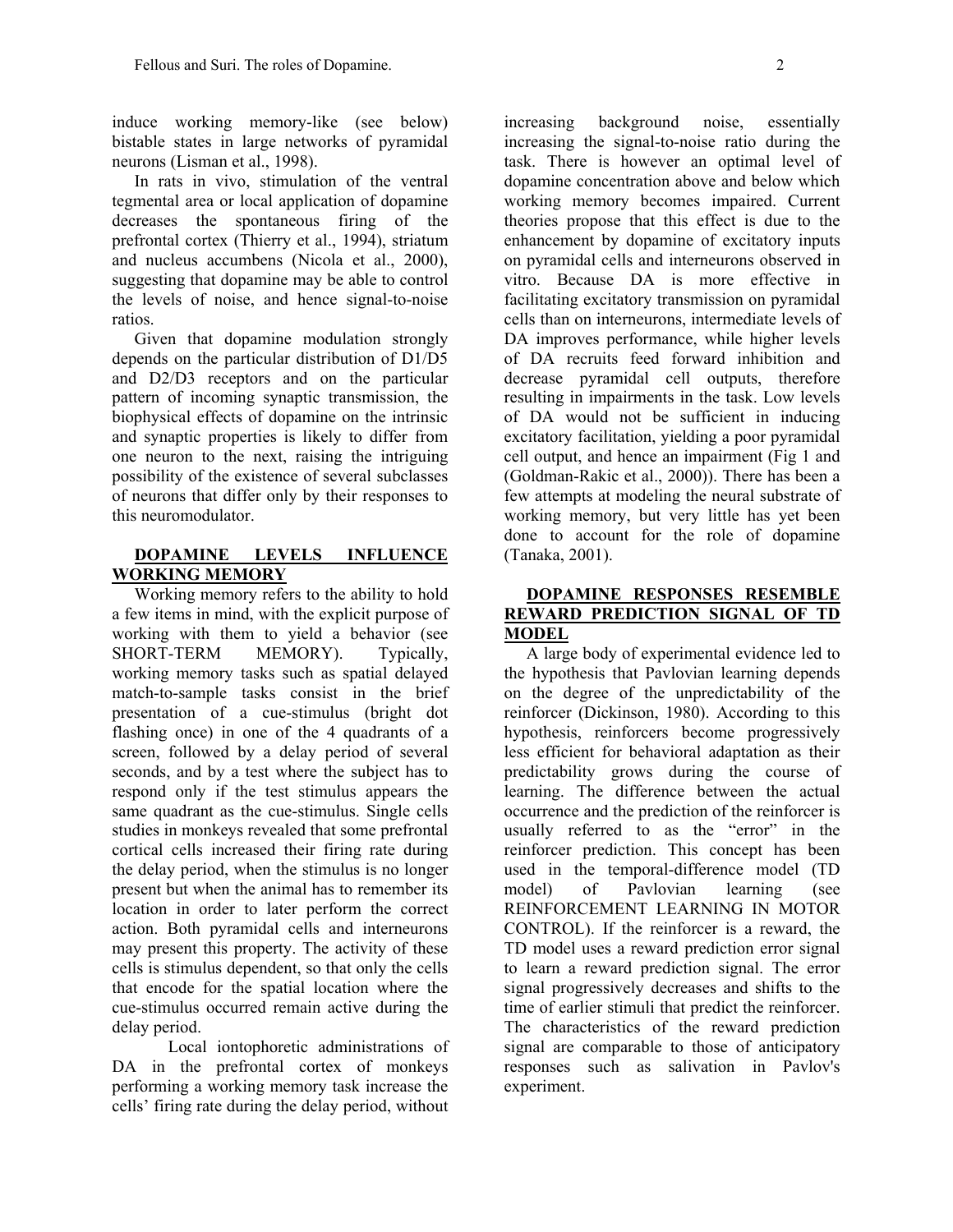induce working memory-like (see below) bistable states in large networks of pyramidal neurons (Lisman et al., 1998).

In rats in vivo, stimulation of the ventral tegmental area or local application of dopamine decreases the spontaneous firing of the prefrontal cortex (Thierry et al., 1994), striatum and nucleus accumbens (Nicola et al., 2000), suggesting that dopamine may be able to control the levels of noise, and hence signal-to-noise ratios.

Given that dopamine modulation strongly depends on the particular distribution of D1/D5 and D2/D3 receptors and on the particular pattern of incoming synaptic transmission, the biophysical effects of dopamine on the intrinsic and synaptic properties is likely to differ from one neuron to the next, raising the intriguing possibility of the existence of several subclasses of neurons that differ only by their responses to this neuromodulator.

# **DOPAMINE LEVELS INFLUENCE WORKING MEMORY**

Working memory refers to the ability to hold a few items in mind, with the explicit purpose of working with them to yield a behavior (see SHORT-TERM MEMORY). Typically, working memory tasks such as spatial delayed match-to-sample tasks consist in the brief presentation of a cue-stimulus (bright dot flashing once) in one of the 4 quadrants of a screen, followed by a delay period of several seconds, and by a test where the subject has to respond only if the test stimulus appears the same quadrant as the cue-stimulus. Single cells studies in monkeys revealed that some prefrontal cortical cells increased their firing rate during the delay period, when the stimulus is no longer present but when the animal has to remember its location in order to later perform the correct action. Both pyramidal cells and interneurons may present this property. The activity of these cells is stimulus dependent, so that only the cells that encode for the spatial location where the cue-stimulus occurred remain active during the delay period.

Local iontophoretic administrations of DA in the prefrontal cortex of monkeys performing a working memory task increase the cells' firing rate during the delay period, without

increasing background noise, essentially increasing the signal-to-noise ratio during the task. There is however an optimal level of dopamine concentration above and below which working memory becomes impaired. Current theories propose that this effect is due to the enhancement by dopamine of excitatory inputs on pyramidal cells and interneurons observed in vitro. Because DA is more effective in facilitating excitatory transmission on pyramidal cells than on interneurons, intermediate levels of DA improves performance, while higher levels of DA recruits feed forward inhibition and decrease pyramidal cell outputs, therefore resulting in impairments in the task. Low levels of DA would not be sufficient in inducing excitatory facilitation, yielding a poor pyramidal cell output, and hence an impairment (Fig 1 and (Goldman-Rakic et al., 2000)). There has been a few attempts at modeling the neural substrate of working memory, but very little has yet been done to account for the role of dopamine (Tanaka, 2001).

## **DOPAMINE RESPONSES RESEMBLE REWARD PREDICTION SIGNAL OF TD MODEL**

A large body of experimental evidence led to the hypothesis that Pavlovian learning depends on the degree of the unpredictability of the reinforcer (Dickinson, 1980). According to this hypothesis, reinforcers become progressively less efficient for behavioral adaptation as their predictability grows during the course of learning. The difference between the actual occurrence and the prediction of the reinforcer is usually referred to as the "error" in the reinforcer prediction. This concept has been used in the temporal-difference model (TD model) of Pavlovian learning (see REINFORCEMENT LEARNING IN MOTOR CONTROL). If the reinforcer is a reward, the TD model uses a reward prediction error signal to learn a reward prediction signal. The error signal progressively decreases and shifts to the time of earlier stimuli that predict the reinforcer. The characteristics of the reward prediction signal are comparable to those of anticipatory responses such as salivation in Pavlov's experiment.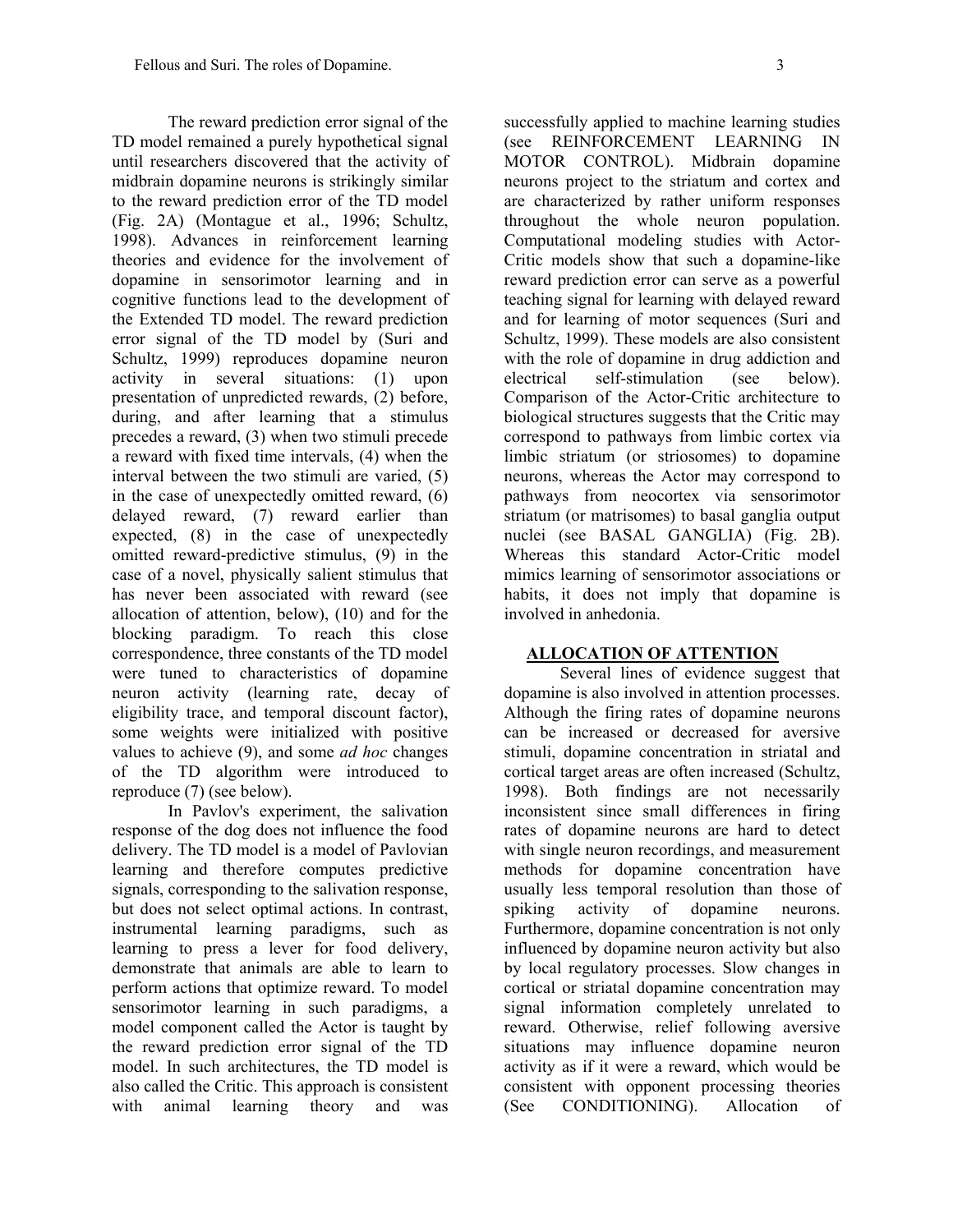The reward prediction error signal of the TD model remained a purely hypothetical signal until researchers discovered that the activity of midbrain dopamine neurons is strikingly similar to the reward prediction error of the TD model (Fig. 2A) (Montague et al., 1996; Schultz, 1998). Advances in reinforcement learning theories and evidence for the involvement of dopamine in sensorimotor learning and in cognitive functions lead to the development of the Extended TD model. The reward prediction error signal of the TD model by (Suri and Schultz, 1999) reproduces dopamine neuron activity in several situations: (1) upon presentation of unpredicted rewards, (2) before, during, and after learning that a stimulus precedes a reward, (3) when two stimuli precede a reward with fixed time intervals, (4) when the interval between the two stimuli are varied, (5) in the case of unexpectedly omitted reward, (6) delayed reward, (7) reward earlier than expected, (8) in the case of unexpectedly omitted reward-predictive stimulus, (9) in the case of a novel, physically salient stimulus that has never been associated with reward (see allocation of attention, below), (10) and for the blocking paradigm. To reach this close correspondence, three constants of the TD model were tuned to characteristics of dopamine neuron activity (learning rate, decay of eligibility trace, and temporal discount factor), some weights were initialized with positive values to achieve (9), and some *ad hoc* changes of the TD algorithm were introduced to reproduce (7) (see below).

In Pavlov's experiment, the salivation response of the dog does not influence the food delivery. The TD model is a model of Pavlovian learning and therefore computes predictive signals, corresponding to the salivation response, but does not select optimal actions. In contrast, instrumental learning paradigms, such as learning to press a lever for food delivery, demonstrate that animals are able to learn to perform actions that optimize reward. To model sensorimotor learning in such paradigms, a model component called the Actor is taught by the reward prediction error signal of the TD model. In such architectures, the TD model is also called the Critic. This approach is consistent with animal learning theory and was

successfully applied to machine learning studies (see REINFORCEMENT LEARNING IN MOTOR CONTROL). Midbrain dopamine neurons project to the striatum and cortex and are characterized by rather uniform responses throughout the whole neuron population. Computational modeling studies with Actor-Critic models show that such a dopamine-like reward prediction error can serve as a powerful teaching signal for learning with delayed reward and for learning of motor sequences (Suri and Schultz, 1999). These models are also consistent with the role of dopamine in drug addiction and electrical self-stimulation (see below). Comparison of the Actor-Critic architecture to biological structures suggests that the Critic may correspond to pathways from limbic cortex via limbic striatum (or striosomes) to dopamine neurons, whereas the Actor may correspond to pathways from neocortex via sensorimotor striatum (or matrisomes) to basal ganglia output nuclei (see BASAL GANGLIA) (Fig. 2B). Whereas this standard Actor-Critic model mimics learning of sensorimotor associations or habits, it does not imply that dopamine is involved in anhedonia.

## **ALLOCATION OF ATTENTION**

Several lines of evidence suggest that dopamine is also involved in attention processes. Although the firing rates of dopamine neurons can be increased or decreased for aversive stimuli, dopamine concentration in striatal and cortical target areas are often increased (Schultz, 1998). Both findings are not necessarily inconsistent since small differences in firing rates of dopamine neurons are hard to detect with single neuron recordings, and measurement methods for dopamine concentration have usually less temporal resolution than those of spiking activity of dopamine neurons. Furthermore, dopamine concentration is not only influenced by dopamine neuron activity but also by local regulatory processes. Slow changes in cortical or striatal dopamine concentration may signal information completely unrelated to reward. Otherwise, relief following aversive situations may influence dopamine neuron activity as if it were a reward, which would be consistent with opponent processing theories (See CONDITIONING). Allocation of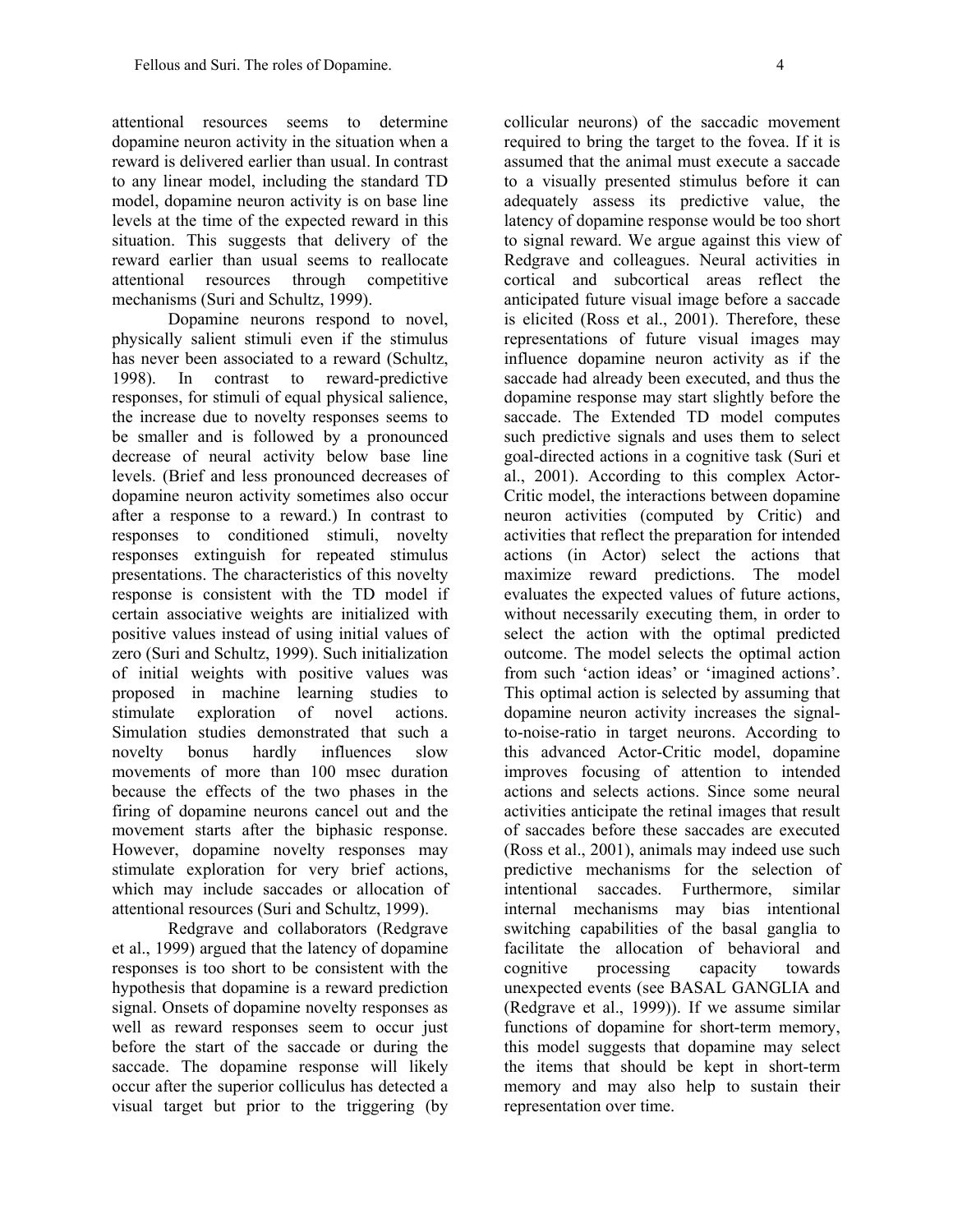attentional resources seems to determine dopamine neuron activity in the situation when a reward is delivered earlier than usual. In contrast to any linear model, including the standard TD model, dopamine neuron activity is on base line levels at the time of the expected reward in this situation. This suggests that delivery of the reward earlier than usual seems to reallocate attentional resources through competitive mechanisms (Suri and Schultz, 1999).

Dopamine neurons respond to novel, physically salient stimuli even if the stimulus has never been associated to a reward (Schultz, 1998). In contrast to reward-predictive responses, for stimuli of equal physical salience, the increase due to novelty responses seems to be smaller and is followed by a pronounced decrease of neural activity below base line levels. (Brief and less pronounced decreases of dopamine neuron activity sometimes also occur after a response to a reward.) In contrast to responses to conditioned stimuli, novelty responses extinguish for repeated stimulus presentations. The characteristics of this novelty response is consistent with the TD model if certain associative weights are initialized with positive values instead of using initial values of zero (Suri and Schultz, 1999). Such initialization of initial weights with positive values was proposed in machine learning studies to stimulate exploration of novel actions. Simulation studies demonstrated that such a novelty bonus hardly influences slow movements of more than 100 msec duration because the effects of the two phases in the firing of dopamine neurons cancel out and the movement starts after the biphasic response. However, dopamine novelty responses may stimulate exploration for very brief actions, which may include saccades or allocation of attentional resources (Suri and Schultz, 1999).

Redgrave and collaborators (Redgrave et al., 1999) argued that the latency of dopamine responses is too short to be consistent with the hypothesis that dopamine is a reward prediction signal. Onsets of dopamine novelty responses as well as reward responses seem to occur just before the start of the saccade or during the saccade. The dopamine response will likely occur after the superior colliculus has detected a visual target but prior to the triggering (by

collicular neurons) of the saccadic movement required to bring the target to the fovea. If it is assumed that the animal must execute a saccade to a visually presented stimulus before it can adequately assess its predictive value, the latency of dopamine response would be too short to signal reward. We argue against this view of Redgrave and colleagues. Neural activities in cortical and subcortical areas reflect the anticipated future visual image before a saccade is elicited (Ross et al., 2001). Therefore, these representations of future visual images may influence dopamine neuron activity as if the saccade had already been executed, and thus the dopamine response may start slightly before the saccade. The Extended TD model computes such predictive signals and uses them to select goal-directed actions in a cognitive task (Suri et al., 2001). According to this complex Actor-Critic model, the interactions between dopamine neuron activities (computed by Critic) and activities that reflect the preparation for intended actions (in Actor) select the actions that maximize reward predictions. The model evaluates the expected values of future actions, without necessarily executing them, in order to select the action with the optimal predicted outcome. The model selects the optimal action from such 'action ideas' or 'imagined actions'. This optimal action is selected by assuming that dopamine neuron activity increases the signalto-noise-ratio in target neurons. According to this advanced Actor-Critic model, dopamine improves focusing of attention to intended actions and selects actions. Since some neural activities anticipate the retinal images that result of saccades before these saccades are executed (Ross et al., 2001), animals may indeed use such predictive mechanisms for the selection of intentional saccades. Furthermore, similar internal mechanisms may bias intentional switching capabilities of the basal ganglia to facilitate the allocation of behavioral and cognitive processing capacity towards unexpected events (see BASAL GANGLIA and (Redgrave et al., 1999)). If we assume similar functions of dopamine for short-term memory, this model suggests that dopamine may select the items that should be kept in short-term memory and may also help to sustain their representation over time.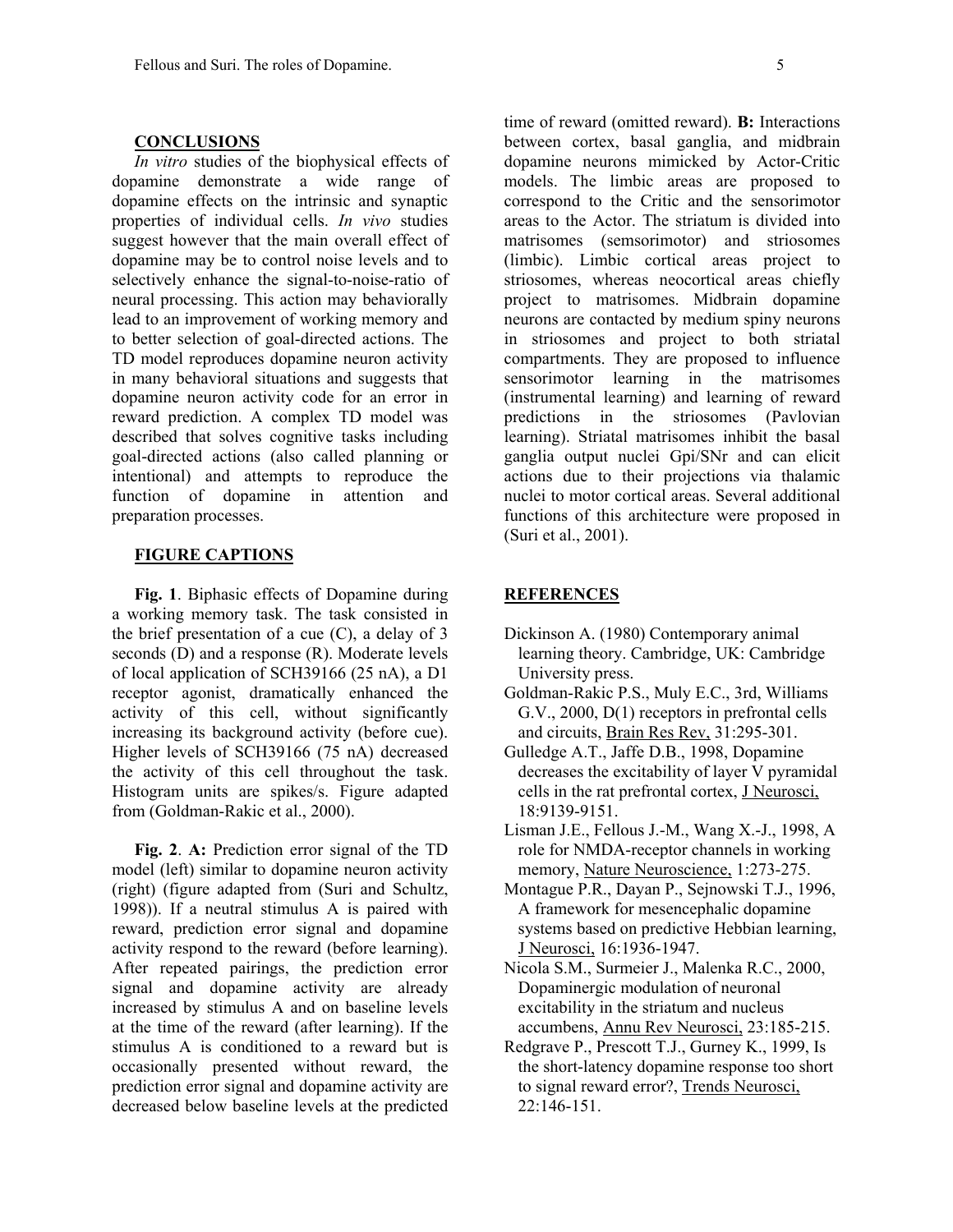#### **CONCLUSIONS**

*In vitro* studies of the biophysical effects of dopamine demonstrate a wide range of dopamine effects on the intrinsic and synaptic properties of individual cells. *In vivo* studies suggest however that the main overall effect of dopamine may be to control noise levels and to selectively enhance the signal-to-noise-ratio of neural processing. This action may behaviorally lead to an improvement of working memory and to better selection of goal-directed actions. The TD model reproduces dopamine neuron activity in many behavioral situations and suggests that dopamine neuron activity code for an error in reward prediction. A complex TD model was described that solves cognitive tasks including goal-directed actions (also called planning or intentional) and attempts to reproduce the function of dopamine in attention and preparation processes.

## **FIGURE CAPTIONS**

**Fig. 1**. Biphasic effects of Dopamine during a working memory task. The task consisted in the brief presentation of a cue (C), a delay of 3 seconds (D) and a response (R). Moderate levels of local application of SCH39166 (25 nA), a D1 receptor agonist, dramatically enhanced the activity of this cell, without significantly increasing its background activity (before cue). Higher levels of SCH39166 (75 nA) decreased the activity of this cell throughout the task. Histogram units are spikes/s. Figure adapted from (Goldman-Rakic et al., 2000).

**Fig. 2**. **A:** Prediction error signal of the TD model (left) similar to dopamine neuron activity (right) (figure adapted from (Suri and Schultz, 1998)). If a neutral stimulus A is paired with reward, prediction error signal and dopamine activity respond to the reward (before learning). After repeated pairings, the prediction error signal and dopamine activity are already increased by stimulus A and on baseline levels at the time of the reward (after learning). If the stimulus A is conditioned to a reward but is occasionally presented without reward, the prediction error signal and dopamine activity are decreased below baseline levels at the predicted

time of reward (omitted reward). **B:** Interactions between cortex, basal ganglia, and midbrain dopamine neurons mimicked by Actor-Critic models. The limbic areas are proposed to correspond to the Critic and the sensorimotor areas to the Actor. The striatum is divided into matrisomes (semsorimotor) and striosomes (limbic). Limbic cortical areas project to striosomes, whereas neocortical areas chiefly project to matrisomes. Midbrain dopamine neurons are contacted by medium spiny neurons in striosomes and project to both striatal compartments. They are proposed to influence sensorimotor learning in the matrisomes (instrumental learning) and learning of reward predictions in the striosomes (Pavlovian learning). Striatal matrisomes inhibit the basal ganglia output nuclei Gpi/SNr and can elicit actions due to their projections via thalamic nuclei to motor cortical areas. Several additional functions of this architecture were proposed in (Suri et al., 2001).

## **REFERENCES**

- Dickinson A. (1980) Contemporary animal learning theory. Cambridge, UK: Cambridge University press.
- Goldman-Rakic P.S., Muly E.C., 3rd, Williams G.V., 2000, D(1) receptors in prefrontal cells and circuits, Brain Res Rev, 31:295-301.
- Gulledge A.T., Jaffe D.B., 1998, Dopamine decreases the excitability of layer V pyramidal cells in the rat prefrontal cortex, J Neurosci, 18:9139-9151.
- Lisman J.E., Fellous J.-M., Wang X.-J., 1998, A role for NMDA-receptor channels in working memory, Nature Neuroscience, 1:273-275.
- Montague P.R., Dayan P., Sejnowski T.J., 1996, A framework for mesencephalic dopamine systems based on predictive Hebbian learning, J Neurosci, 16:1936-1947.
- Nicola S.M., Surmeier J., Malenka R.C., 2000, Dopaminergic modulation of neuronal excitability in the striatum and nucleus accumbens, Annu Rev Neurosci, 23:185-215.
- Redgrave P., Prescott T.J., Gurney K., 1999, Is the short-latency dopamine response too short to signal reward error?, Trends Neurosci, 22:146-151.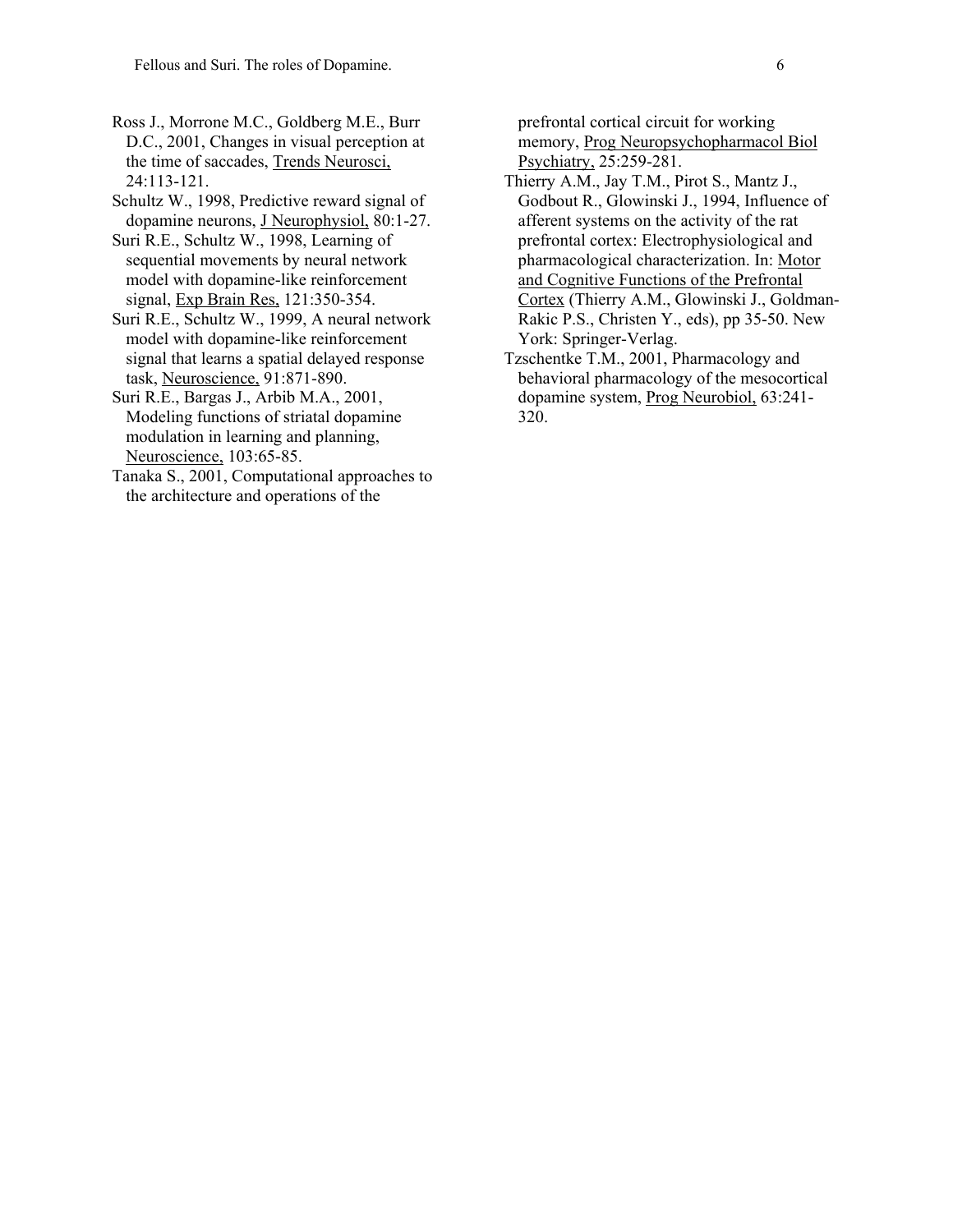- Ross J., Morrone M.C., Goldberg M.E., Burr D.C., 2001, Changes in visual perception at the time of saccades, Trends Neurosci, 24:113-121.
- Schultz W., 1998, Predictive reward signal of dopamine neurons, J Neurophysiol, 80:1-27.
- Suri R.E., Schultz W., 1998, Learning of sequential movements by neural network model with dopamine-like reinforcement signal, Exp Brain Res, 121:350-354.
- Suri R.E., Schultz W., 1999, A neural network model with dopamine-like reinforcement signal that learns a spatial delayed response task, Neuroscience, 91:871-890.
- Suri R.E., Bargas J., Arbib M.A., 2001, Modeling functions of striatal dopamine modulation in learning and planning, Neuroscience, 103:65-85.
- Tanaka S., 2001, Computational approaches to the architecture and operations of the

prefrontal cortical circuit for working memory, Prog Neuropsychopharmacol Biol Psychiatry, 25:259-281.

- Thierry A.M., Jay T.M., Pirot S., Mantz J., Godbout R., Glowinski J., 1994, Influence of afferent systems on the activity of the rat prefrontal cortex: Electrophysiological and pharmacological characterization. In: Motor and Cognitive Functions of the Prefrontal Cortex (Thierry A.M., Glowinski J., Goldman-Rakic P.S., Christen Y., eds), pp 35-50. New York: Springer-Verlag.
- Tzschentke T.M., 2001, Pharmacology and behavioral pharmacology of the mesocortical dopamine system, Prog Neurobiol, 63:241- 320.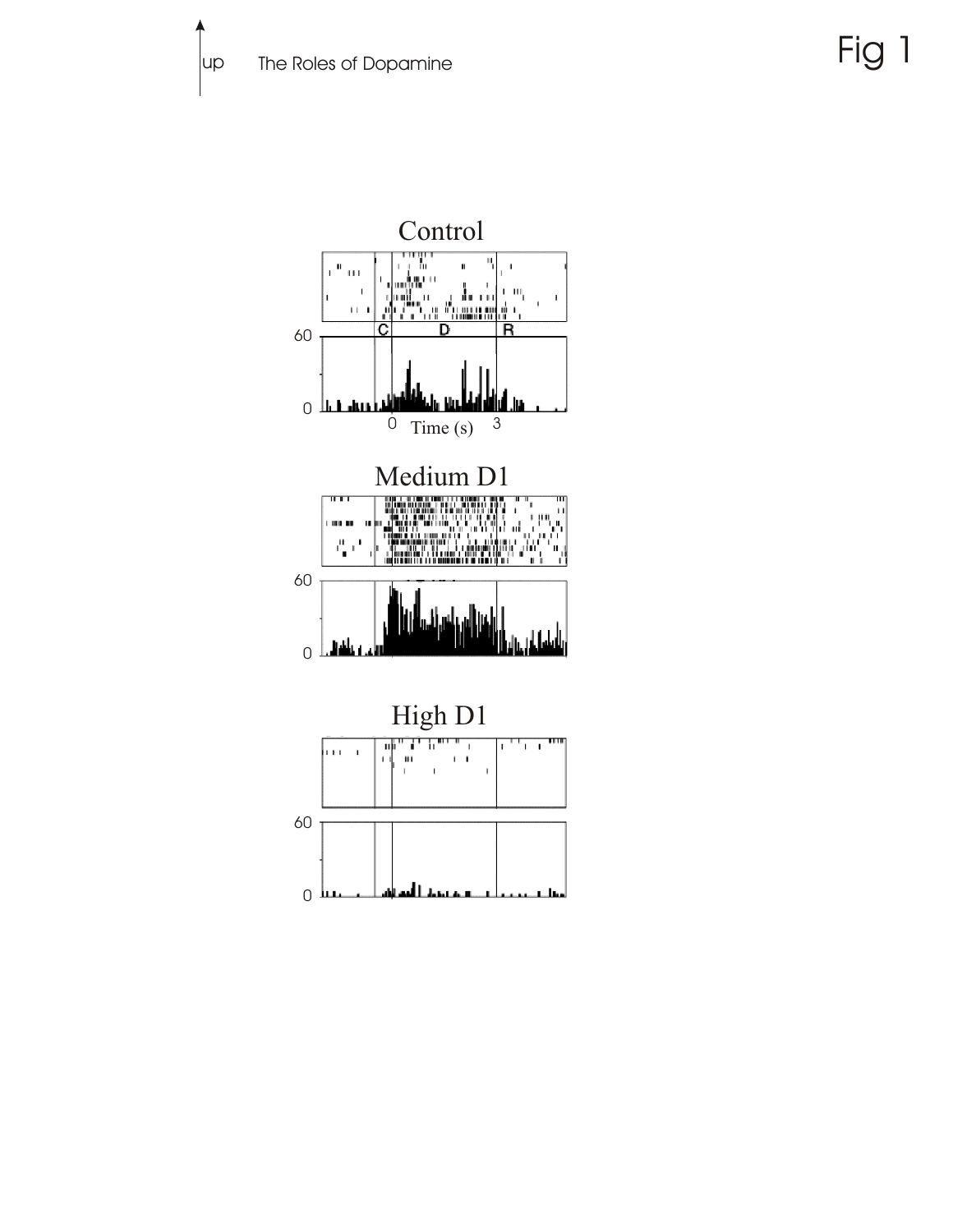